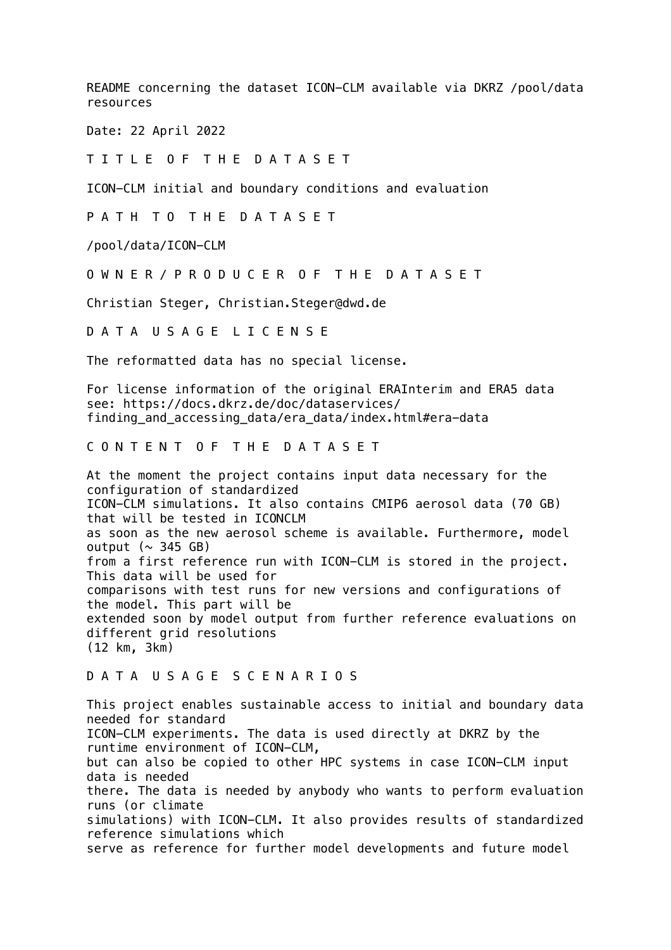README concerning the dataset ICON-CLM available via DKRZ /pool/data resources

Date: 22 April 2022

T I T L E O F T H E D A T A S E T

ICON-CLM initial and boundary conditions and evaluation

P A T H T O T H E D A T A S E T

/pool/data/ICON-CLM

O W N E R / P R O D U C E R O F T H E D A T A S E T

Christian Steger, Christian.Steger@dwd.de

D A T A U S A G E L I C E N S E

The reformatted data has no special license.

For license information of the original ERAInterim and ERA5 data see: https://docs.dkrz.de/doc/dataservices/ finding\_and\_accessing\_data/era\_data/index.html#era-data

## C O N T E N T O F T H E D A T A S E T

At the moment the project contains input data necessary for the configuration of standardized ICON-CLM simulations. It also contains CMIP6 aerosol data (70 GB) that will be tested in ICONCLM as soon as the new aerosol scheme is available. Furthermore, model output  $(\sim 345$  GB) from a first reference run with ICON-CLM is stored in the project. This data will be used for comparisons with test runs for new versions and configurations of the model. This part will be extended soon by model output from further reference evaluations on different grid resolutions (12 km, 3km)

## D A T A U S A G E S C E N A R I O S

This project enables sustainable access to initial and boundary data needed for standard ICON-CLM experiments. The data is used directly at DKRZ by the runtime environment of ICON-CLM, but can also be copied to other HPC systems in case ICON-CLM input data is needed there. The data is needed by anybody who wants to perform evaluation runs (or climate simulations) with ICON-CLM. It also provides results of standardized reference simulations which serve as reference for further model developments and future model